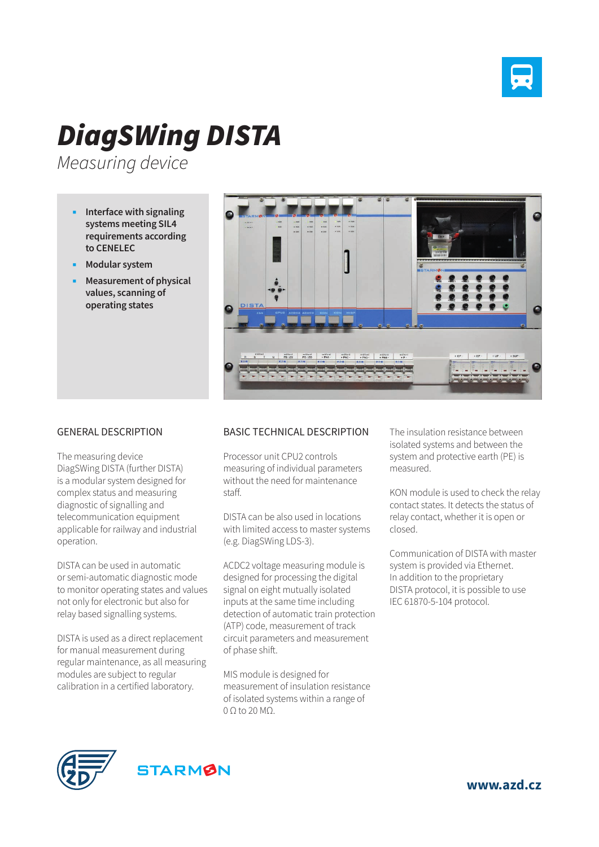

## *DiagSWing DISTA*

*Measuring device*

- **Interface with signaling systems meeting SIL4 requirements according to CENELEC**
- **Modular system**
- **Measurement of physical values, scanning of operating states**



## GENERAL DESCRIPTION

The measuring device DiagSWing DISTA (further DISTA) is a modular system designed for complex status and measuring diagnostic of signalling and telecommunication equipment applicable for railway and industrial operation.

DISTA can be used in automatic or semi-automatic diagnostic mode to monitor operating states and values not only for electronic but also for relay based signalling systems.

DISTA is used as a direct replacement for manual measurement during regular maintenance, as all measuring modules are subject to regular calibration in a certified laboratory.

## BASIC TECHNICAL DESCRIPTION

Processor unit CPU2 controls measuring of individual parameters without the need for maintenance staff.

DISTA can be also used in locations with limited access to master systems (e.g. DiagSWing LDS-3).

ACDC2 voltage measuring module is designed for processing the digital signal on eight mutually isolated inputs at the same time including detection of automatic train protection (ATP) code, measurement of track circuit parameters and measurement of phase shift.

MIS module is designed for measurement of insulation resistance of isolated systems within a range of 0 Ω to 20 MΩ.

The insulation resistance between isolated systems and between the system and protective earth (PE) is measured.

KON module is used to check the relay contact states. It detects the status of relay contact, whether it is open or closed.

Communication of DISTA with master system is provided via Ethernet. In addition to the proprietary DISTA protocol, it is possible to use IEC 61870-5-104 protocol.





**www.azd.cz**